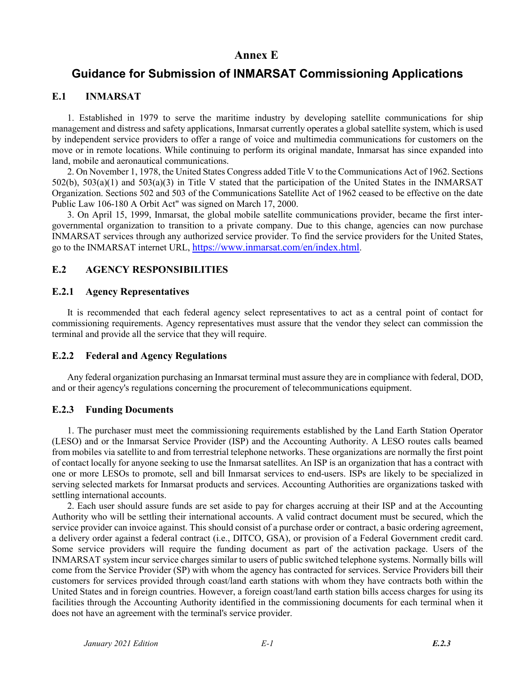## **Annex E**

# **Guidance for Submission of INMARSAT Commissioning Applications**

#### **E.1 INMARSAT**

1. Established in 1979 to serve the maritime industry by developing satellite communications for ship management and distress and safety applications, Inmarsat currently operates a global satellite system, which is used by independent service providers to offer a range of voice and multimedia communications for customers on the move or in remote locations. While continuing to perform its original mandate, Inmarsat has since expanded into land, mobile and aeronautical communications.

2. On November 1, 1978, the United States Congress added Title V to the Communications Act of 1962. Sections 502(b), 503(a)(1) and 503(a)(3) in Title V stated that the participation of the United States in the INMARSAT Organization. Sections 502 and 503 of the Communications Satellite Act of 1962 ceased to be effective on the date Public Law 106-180 A Orbit Act" was signed on March 17, 2000.

3. On April 15, 1999, Inmarsat, the global mobile satellite communications provider, became the first intergovernmental organization to transition to a private company. Due to this change, agencies can now purchase INMARSAT services through any authorized service provider. To find the service providers for the United States, go to the INMARSAT internet URL, https://www.inmarsat.com/en/index.html.

## **E.2 AGENCY RESPONSIBILITIES**

#### **E.2.1 Agency Representatives**

It is recommended that each federal agency select representatives to act as a central point of contact for commissioning requirements. Agency representatives must assure that the vendor they select can commission the terminal and provide all the service that they will require.

#### **E.2.2 Federal and Agency Regulations**

Any federal organization purchasing an Inmarsat terminal must assure they are in compliance with federal, DOD, and or their agency's regulations concerning the procurement of telecommunications equipment.

#### **E.2.3 Funding Documents**

1. The purchaser must meet the commissioning requirements established by the Land Earth Station Operator (LESO) and or the Inmarsat Service Provider (ISP) and the Accounting Authority. A LESO routes calls beamed from mobiles via satellite to and from terrestrial telephone networks. These organizations are normally the first point of contact locally for anyone seeking to use the Inmarsat satellites. An ISP is an organization that has a contract with one or more LESOs to promote, sell and bill Inmarsat services to end-users. ISPs are likely to be specialized in serving selected markets for Inmarsat products and services. Accounting Authorities are organizations tasked with settling international accounts.

2. Each user should assure funds are set aside to pay for charges accruing at their ISP and at the Accounting Authority who will be settling their international accounts. A valid contract document must be secured, which the service provider can invoice against. This should consist of a purchase order or contract, a basic ordering agreement, a delivery order against a federal contract (i.e., DITCO, GSA), or provision of a Federal Government credit card. Some service providers will require the funding document as part of the activation package. Users of the INMARSAT system incur service charges similar to users of public switched telephone systems. Normally bills will come from the Service Provider (SP) with whom the agency has contracted for services. Service Providers bill their customers for services provided through coast/land earth stations with whom they have contracts both within the United States and in foreign countries. However, a foreign coast/land earth station bills access charges for using its facilities through the Accounting Authority identified in the commissioning documents for each terminal when it does not have an agreement with the terminal's service provider.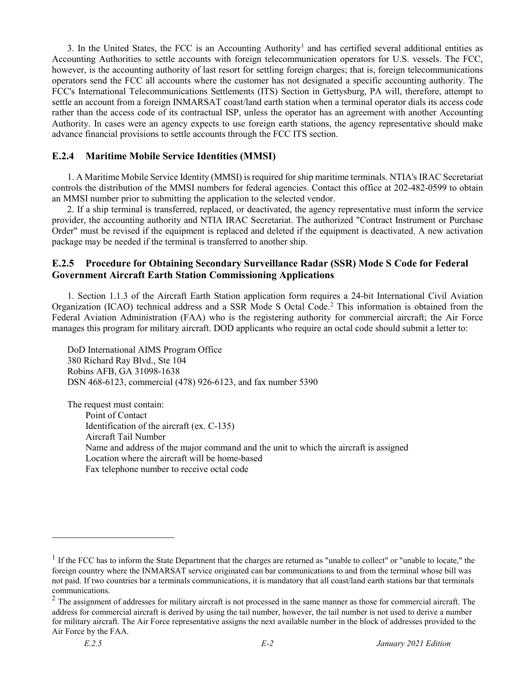3. In the United States, the FCC is an Accounting Authority<sup>[1](#page-1-0)</sup> and has certified several additional entities as Accounting Authorities to settle accounts with foreign telecommunication operators for U.S. vessels. The FCC, however, is the accounting authority of last resort for settling foreign charges; that is, foreign telecommunications operators send the FCC all accounts where the customer has not designated a specific accounting authority. The FCC's International Telecommunications Settlements (ITS) Section in Gettysburg, PA will, therefore, attempt to settle an account from a foreign INMARSAT coast/land earth station when a terminal operator dials its access code rather than the access code of its contractual ISP, unless the operator has an agreement with another Accounting Authority. In cases were an agency expects to use foreign earth stations, the agency representative should make advance financial provisions to settle accounts through the FCC ITS section.

### **E.2.4 Maritime Mobile Service Identities (MMSI)**

1. A Maritime Mobile Service Identity (MMSI) is required for ship maritime terminals. NTIA's IRAC Secretariat controls the distribution of the MMSI numbers for federal agencies. Contact this office at 202-482-0599 to obtain an MMSI number prior to submitting the application to the selected vendor.

2. If a ship terminal is transferred, replaced, or deactivated, the agency representative must inform the service provider, the accounting authority and NTIA IRAC Secretariat. The authorized "Contract Instrument or Purchase Order" must be revised if the equipment is replaced and deleted if the equipment is deactivated. A new activation package may be needed if the terminal is transferred to another ship.

## **E.2.5 Procedure for Obtaining Secondary Surveillance Radar (SSR) Mode S Code for Federal Government Aircraft Earth Station Commissioning Applications**

1. Section 1.1.3 of the Aircraft Earth Station application form requires a 24-bit International Civil Aviation Organization (ICAO) technical address and a SSR Mode S Octal Code.[2](#page-1-1) This information is obtained from the Federal Aviation Administration (FAA) who is the registering authority for commercial aircraft; the Air Force manages this program for military aircraft. DOD applicants who require an octal code should submit a letter to:

DoD International AIMS Program Office 380 Richard Ray Blvd., Ste 104 Robins AFB, GA 31098-1638 DSN 468-6123, commercial (478) 926-6123, and fax number 5390

The request must contain: Point of Contact Identification of the aircraft (ex. C-135) Aircraft Tail Number Name and address of the major command and the unit to which the aircraft is assigned Location where the aircraft will be home-based Fax telephone number to receive octal code

 $\overline{a}$ 

<span id="page-1-0"></span><sup>&</sup>lt;sup>1</sup> If the FCC has to inform the State Department that the charges are returned as "unable to collect" or "unable to locate," the foreign country where the INMARSAT service originated can bar communications to and from the terminal whose bill was not paid. If two countries bar a terminals communications, it is mandatory that all coast/land earth stations bar that terminals communications.

<span id="page-1-1"></span> $2$  The assignment of addresses for military aircraft is not processed in the same manner as those for commercial aircraft. The address for commercial aircraft is derived by using the tail number, however, the tail number is not used to derive a number for military aircraft. The Air Force representative assigns the next available number in the block of addresses provided to the Air Force by the FAA.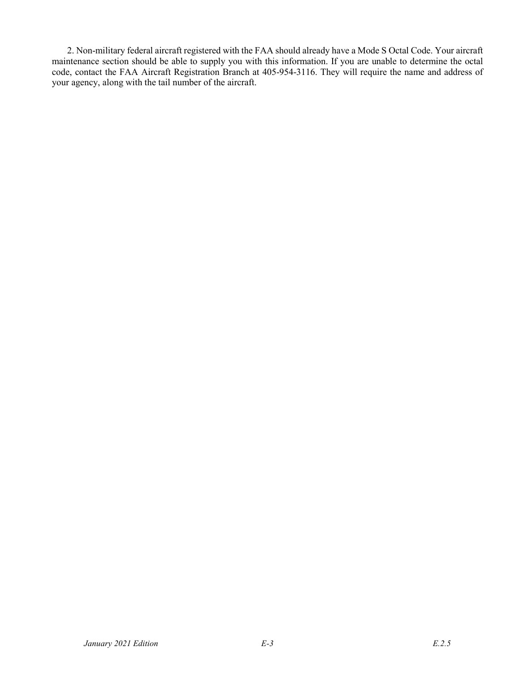2. Non-military federal aircraft registered with the FAA should already have a Mode S Octal Code. Your aircraft maintenance section should be able to supply you with this information. If you are unable to determine the octal code, contact the FAA Aircraft Registration Branch at 405-954-3116. They will require the name and address of your agency, along with the tail number of the aircraft.